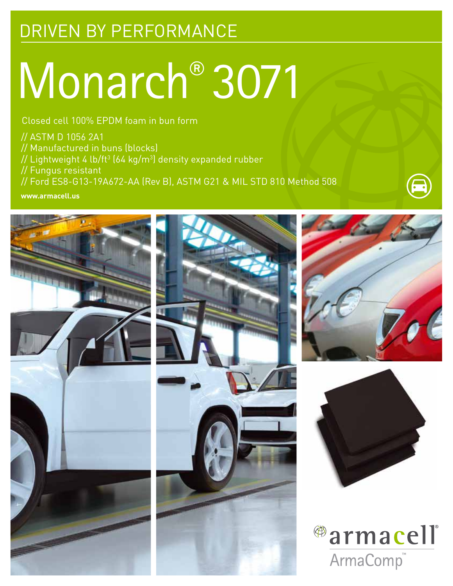## DRIVEN BY PERFORMANCE

# Monarch® 3071

Closed cell 100% EPDM foam in bun form

// ASTM D 1056 2A1

// Manufactured in buns (blocks)

// Lightweight 4 lb/ft $^3$  (64 kg/m $^3$ ) density expanded rubber

// Fungus resistant

// Ford ES8-G13-19A672-AA (Rev B), ASTM G21 & MIL STD 810 Method 508

**www.armacell.us**